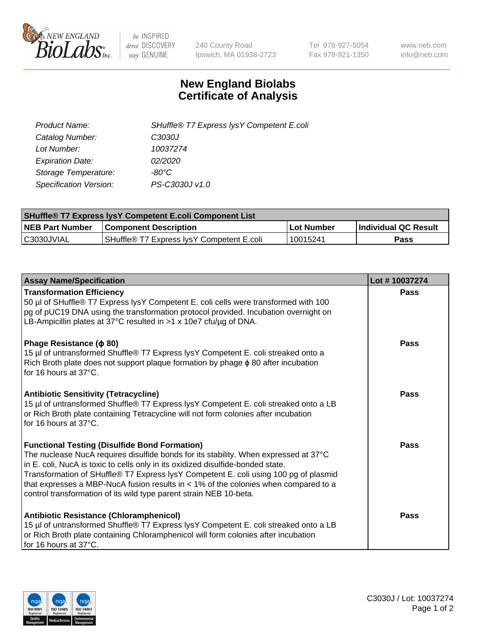

 $be$  INSPIRED drive DISCOVERY stay GENUINE

240 County Road Ipswich, MA 01938-2723 Tel 978-927-5054 Fax 978-921-1350 www.neb.com info@neb.com

## **New England Biolabs Certificate of Analysis**

| Product Name:           | SHuffle® T7 Express lysY Competent E.coli |
|-------------------------|-------------------------------------------|
| Catalog Number:         | C3030J                                    |
| Lot Number:             | 10037274                                  |
| <b>Expiration Date:</b> | 02/2020                                   |
| Storage Temperature:    | -80°C                                     |
| Specification Version:  | PS-C3030J v1.0                            |

| <b>SHuffle<sup>®</sup> T7 Express lysY Competent E.coli Component List</b> |                                                       |                   |                             |  |
|----------------------------------------------------------------------------|-------------------------------------------------------|-------------------|-----------------------------|--|
| <b>NEB Part Number</b>                                                     | <b>Component Description</b>                          | <b>Lot Number</b> | <b>Individual QC Result</b> |  |
| C3030JVIAL                                                                 | SHuffle <sup>®</sup> T7 Express lysY Competent E.coli | 10015241          | Pass                        |  |

| <b>Assay Name/Specification</b>                                                                                                                                                                                                                                                                                                                                                                                                                                                        | Lot #10037274 |
|----------------------------------------------------------------------------------------------------------------------------------------------------------------------------------------------------------------------------------------------------------------------------------------------------------------------------------------------------------------------------------------------------------------------------------------------------------------------------------------|---------------|
| <b>Transformation Efficiency</b><br>50 µl of SHuffle® T7 Express lysY Competent E. coli cells were transformed with 100<br>pg of pUC19 DNA using the transformation protocol provided. Incubation overnight on<br>LB-Ampicillin plates at 37°C resulted in $>1 \times 10e7$ cfu/ug of DNA.                                                                                                                                                                                             | Pass          |
| Phage Resistance ( $\phi$ 80)<br>15 µl of untransformed Shuffle® T7 Express lysY Competent E. coli streaked onto a<br>Rich Broth plate does not support plaque formation by phage $\phi$ 80 after incubation<br>for 16 hours at 37°C.                                                                                                                                                                                                                                                  | Pass          |
| <b>Antibiotic Sensitivity (Tetracycline)</b><br>15 µl of untransformed Shuffle® T7 Express lysY Competent E. coli streaked onto a LB<br>or Rich Broth plate containing Tetracycline will not form colonies after incubation<br>for 16 hours at 37°C.                                                                                                                                                                                                                                   | Pass          |
| <b>Functional Testing (Disulfide Bond Formation)</b><br>The nuclease NucA requires disulfide bonds for its stability. When expressed at 37°C<br>in E. coli, NucA is toxic to cells only in its oxidized disulfide-bonded state.<br>Transformation of SHuffle® T7 Express lysY Competent E. coli using 100 pg of plasmid<br>that expresses a MBP-NucA fusion results in $<$ 1% of the colonies when compared to a<br>control transformation of its wild type parent strain NEB 10-beta. | Pass          |
| <b>Antibiotic Resistance (Chloramphenicol)</b><br>15 µl of untransformed Shuffle® T7 Express lysY Competent E. coli streaked onto a LB<br>or Rich Broth plate containing Chloramphenicol will form colonies after incubation<br>for 16 hours at 37°C.                                                                                                                                                                                                                                  | Pass          |